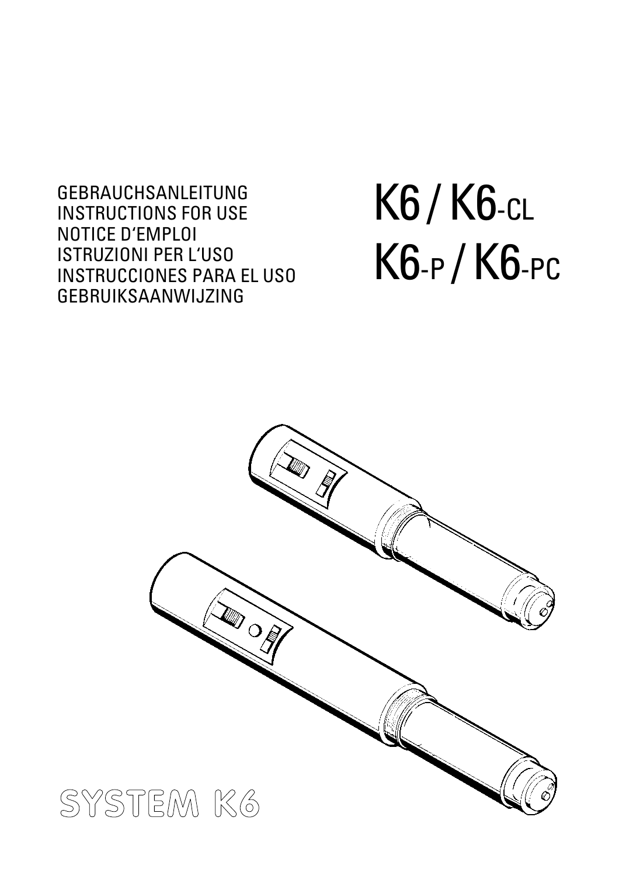GEBRAUCHSANLEITUNG INSTRUCTIONS FOR USE NOTICE D'EMPLOI ISTRUZIONI PER L'USO INSTRUCCIONES PARA EL USO GEBRUIKSAANWIJZING

# K6 / K6-CL K6-P /K6-PC

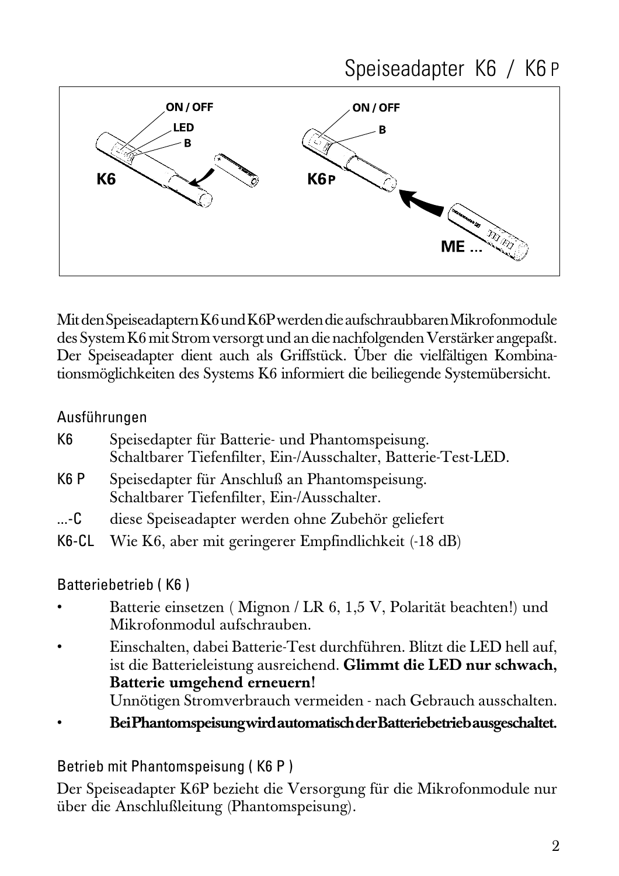



Mit den Speiseadaptern K6 und K6P werden die aufschraubbaren Mikrofonmodule des System K6 mit Strom versorgt und an die nachfolgenden Verstärker angepaßt. Der Speiseadapter dient auch als Griffstück. Über die vielfältigen Kombinationsmöglichkeiten des Systems K6 informiert die beiliegende Systemübersicht.

#### Ausführungen

| K6 | Speisedapter für Batterie- und Phantomspeisung.                |
|----|----------------------------------------------------------------|
|    | Schaltbarer Tiefenfilter, Ein-/Ausschalter, Batterie-Test-LED. |

- K6 P Speisedapter für Anschluß an Phantomspeisung. Schaltbarer Tiefenfilter, Ein-/Ausschalter.
- ...-C diese Speiseadapter werden ohne Zubehör geliefert
- K6-CL Wie K6, aber mit geringerer Empfindlichkeit (-18 dB)

#### Batteriebetrieb ( K6 )

- Batterie einsetzen ( Mignon / LR 6, 1,5 V, Polarität beachten!) und Mikrofonmodul aufschrauben.
- Einschalten, dabei Batterie-Test durchführen. Blitzt die LED hell auf, ist die Batterieleistung ausreichend. **Glimmt die LED nur schwach, Batterie umgehend erneuern!** Unnötigen Stromverbrauch vermeiden - nach Gebrauch ausschalten.
- **Bei Phantomspeisung wird automatisch der Batteriebetrieb ausgeschaltet.**

Betrieb mit Phantomspeisung ( K6 P )

Der Speiseadapter K6P bezieht die Versorgung für die Mikrofonmodule nur über die Anschlußleitung (Phantomspeisung).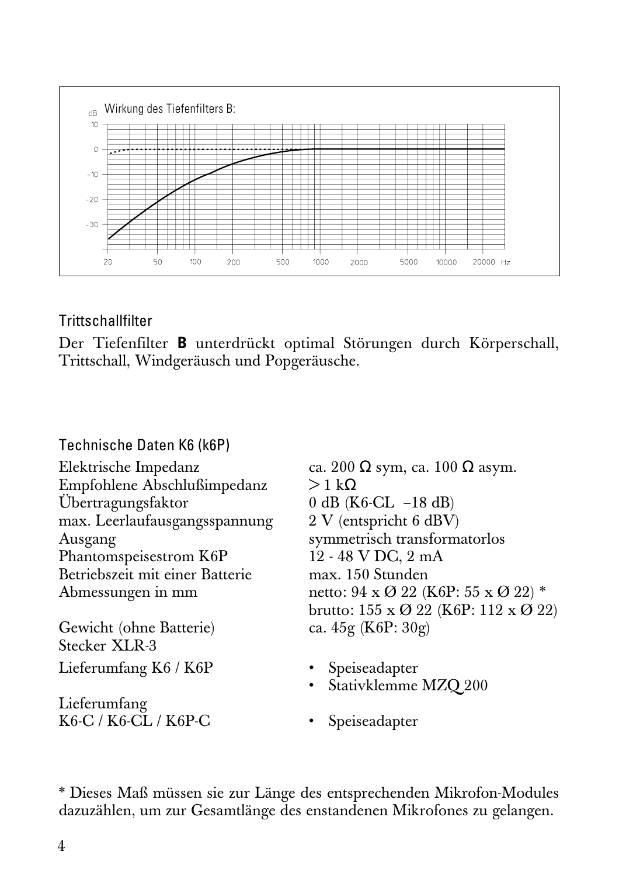

#### **Trittschallfilter**

Der Tiefenfilter **B** unterdrückt optimal Störungen durch Körperschall, Trittschall, Windgeräusch und Popgeräusche.

#### Technische Daten K6 (k6P)

Empfohlene Abschlußimpedanz  $> 1 \text{ k}\Omega$ Übertragungsfaktor 0 dB (K6-CL –18 dB) max. Leerlaufausgangsspannung Ausgang symmetrisch transformatorlos<br>
Phantomspeisestrom K6P 12 - 48 V DC, 2 mA Phantomspeisestrom K6P Betriebszeit mit einer Batterie max. 150 Stunden

Gewicht (ohne Batterie) Stecker **XLR-3** Lieferumfang K6 / K6P • Speiseadapter

Lieferumfang K6-C / K6-CL / K6P-C • Speiseadapter

Elektrische Impedanz ca. 200 Ω sym, ca. 100 Ω asym. Abmessungen in mm netto:  $94 \times 0.22$  (K6P:  $55 \times 0.22$ ) \* brutto:  $155 \times \emptyset$  22 (K6P:  $112 \times \emptyset$  22)<br>ca.  $45g$  (K6P:  $30g$ )

- 
- Stativklemme MZQ 200
- 

\* Dieses Maß müssen sie zur Länge des entsprechenden Mikrofon-Modules dazuzählen, um zur Gesamtlänge des enstandenen Mikrofones zu gelangen.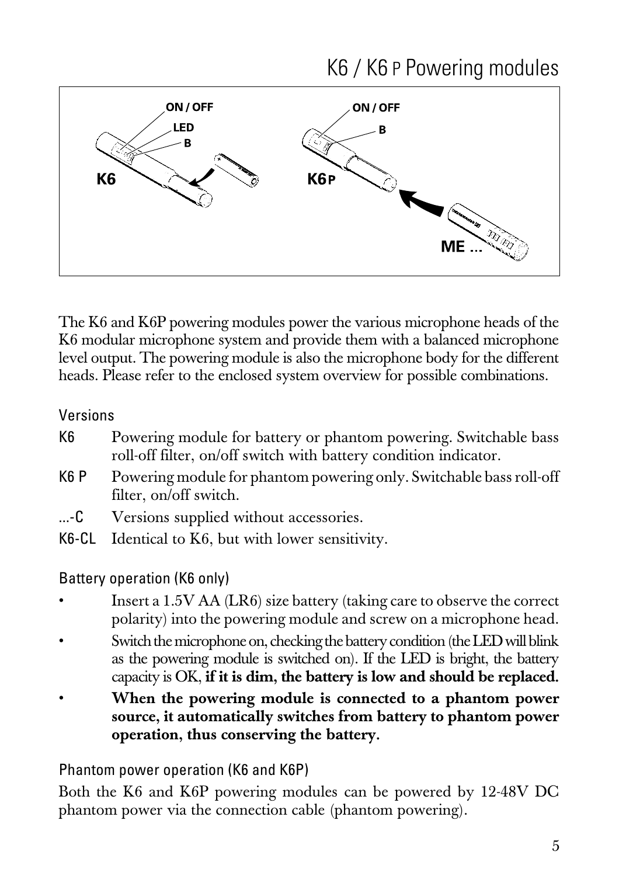### K6 / K6 P Powering modules



The K6 and K6P powering modules power the various microphone heads of the K6 modular microphone system and provide them with a balanced microphone level output. The powering module is also the microphone body for the different heads. Please refer to the enclosed system overview for possible combinations.

Versions

- K6 Powering module for battery or phantom powering. Switchable bass roll-off filter, on/off switch with battery condition indicator.
- K6 P Powering module for phantom powering only. Switchable bass roll-off filter, on/off switch.
- ...-C Versions supplied without accessories.
- K6-CL Identical to K6, but with lower sensitivity.

Battery operation (K6 only)

- Insert a 1.5V AA (LR6) size battery (taking care to observe the correct polarity) into the powering module and screw on a microphone head.
- Switch the microphone on, checking the battery condition (the LED will blink as the powering module is switched on). If the LED is bright, the battery capacity is OK, **if it is dim, the battery is low and should be replaced.**
- **When the powering module is connected to a phantom power source, it automatically switches from battery to phantom power operation, thus conserving the battery.**

Phantom power operation (K6 and K6P)

Both the K6 and K6P powering modules can be powered by 12-48V DC phantom power via the connection cable (phantom powering).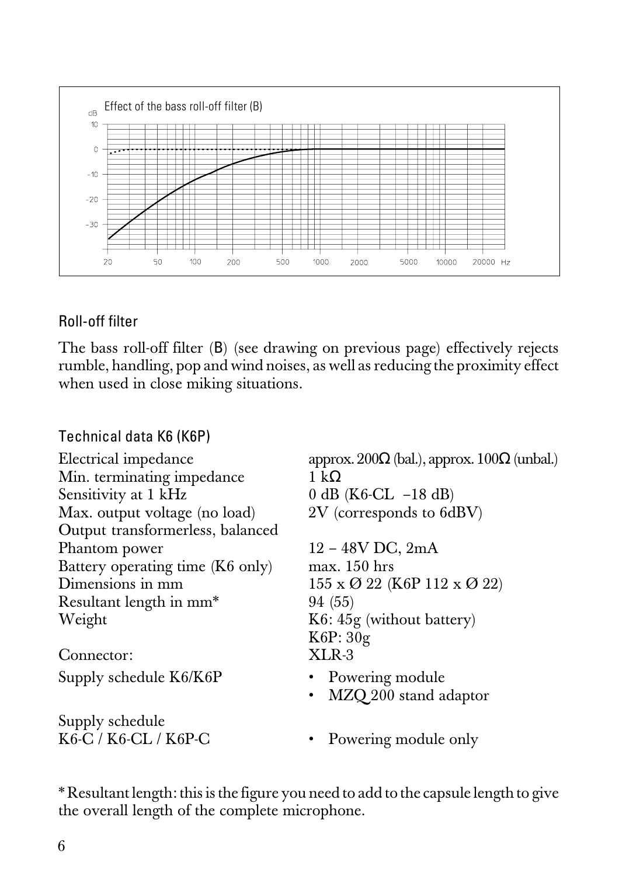

#### Roll-off filter

The bass roll-off filter (B) (see drawing on previous page) effectively rejects rumble, handling, pop and wind noises, as well as reducing the proximity effect when used in close miking situations.

| Technical data K6 (K6P)             |                                                          |
|-------------------------------------|----------------------------------------------------------|
| Electrical impedance                | approx. $200\Omega$ (bal.), approx. $100\Omega$ (unbal.) |
| Min. terminating impedance          | 1 kΩ                                                     |
| Sensitivity at 1 kHz                | 0 dB ( $K6-CL$ -18 dB)                                   |
| Max. output voltage (no load)       | 2V (corresponds to 6dBV)                                 |
| Output transformerless, balanced    |                                                          |
| Phantom power                       | $12 - 48V$ DC, $2mA$                                     |
| Battery operating time (K6 only)    | $max. 150$ hrs                                           |
| Dimensions in mm                    | $155 \times \mathcal{O}$ 22 (K6P 112 x $\mathcal{O}$ 22) |
| Resultant length in mm <sup>*</sup> | 94 (55)                                                  |
| Weight                              | $K6: 45g$ (without battery)                              |
|                                     | K6P:30g                                                  |
| Connector:                          | $XLR-3$                                                  |
| Supply schedule K6/K6P              | • Powering module                                        |
|                                     | MZQ 200 stand adaptor<br>$\bullet$                       |
| Supply schedule                     |                                                          |
| K6-C / K6-CL / K6P-C                | • Powering module only                                   |

\* Resultant length: this is the figure you need to add to the capsule length to give the overall length of the complete microphone.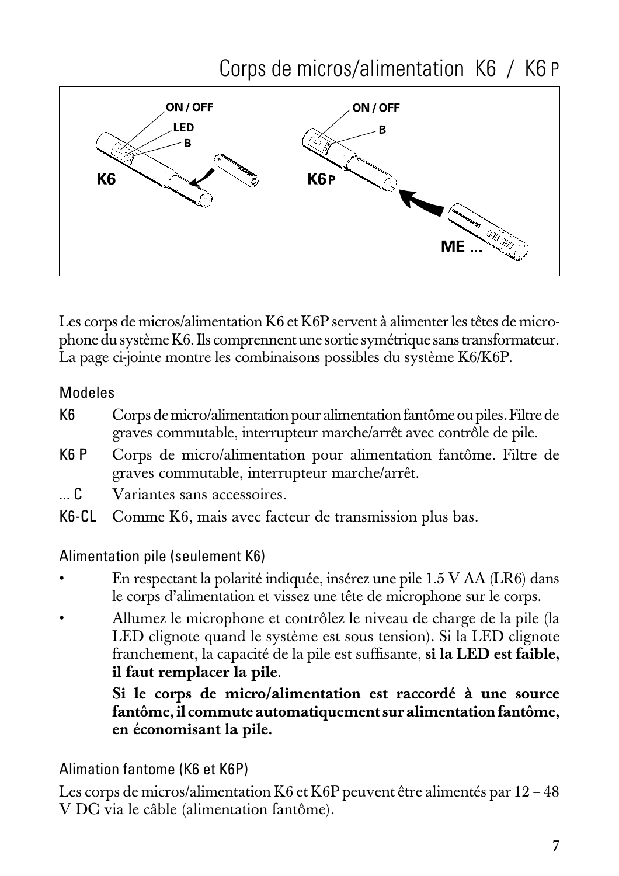

Les corps de micros/alimentation K6 et K6P servent à alimenter les têtes de microphone du système K6. Ils comprennent une sortie symétrique sans transformateur. La page ci-jointe montre les combinaisons possibles du système K6/K6P.

#### Modeles

- K6 Corps de micro/alimentation pour alimentation fantôme ou piles. Filtre de graves commutable, interrupteur marche/arrêt avec contrôle de pile.
- K6 P Corps de micro/alimentation pour alimentation fantôme. Filtre de graves commutable, interrupteur marche/arrêt.
- ... C Variantes sans accessoires.
- K6-CL Comme K6, mais avec facteur de transmission plus bas.

#### Alimentation pile (seulement K6)

- En respectant la polarité indiquée, insérez une pile 1.5 V AA (LR6) dans le corps d'alimentation et vissez une tête de microphone sur le corps.
- Allumez le microphone et contrôlez le niveau de charge de la pile (la LED clignote quand le système est sous tension). Si la LED clignote franchement, la capacité de la pile est suffisante, **si la LED est faible, il faut remplacer la pile**.

**Si le corps de micro/alimentation est raccordé à une source fantôme, il commute automatiquement sur alimentation fantôme, en économisant la pile.**

Alimation fantome (K6 et K6P)

Les corps de micros/alimentation K6 et K6P peuvent être alimentés par 12 – 48 V DC via le câble (alimentation fantôme).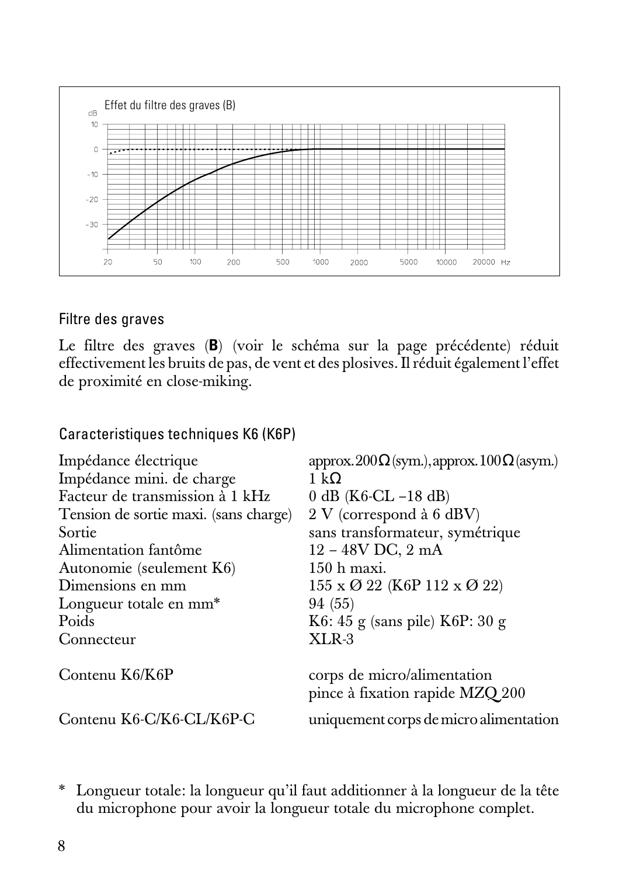

#### Filtre des graves

Le filtre des graves (**B**) (voir le schéma sur la page précédente) réduit effectivement les bruits de pas, de vent et des plosives. Il réduit également l'effet de proximité en close-miking.

Caracteristiques techniques K6 (K6P)

| Impédance électrique                  | $\text{approx.200}\Omega(\text{sym.}), \text{approx.100}\Omega(\text{asym.})$ |
|---------------------------------------|-------------------------------------------------------------------------------|
| Impédance mini. de charge             | 1 k $\Omega$                                                                  |
| Facteur de transmission à 1 kHz       | 0 dB $(K6-CL - 18$ dB)                                                        |
| Tension de sortie maxi. (sans charge) | $2 V$ (correspond à 6 dBV)                                                    |
| Sortie                                | sans transformateur, symétrique                                               |
| Alimentation fantôme                  | $12 - 48V$ DC, $2$ mA                                                         |
| Autonomie (seulement K6)              | $150h$ maxi.                                                                  |
| Dimensions en mm                      | $155 \times Q$ 22 (K6P 112 x $Q$ 22)                                          |
| Longueur totale en mm <sup>*</sup>    | 94 (55)                                                                       |
| Poids                                 | $K6: 45$ g (sans pile) $K6P: 30$ g                                            |
| Connecteur                            | $XLR-3$                                                                       |
| Contenu K6/K6P                        | corps de micro/alimentation<br>pince à fixation rapide MZQ 200                |
| Contenu K6-C/K6-CL/K6P-C              | uniquement corps de micro alimentation                                        |

\* Longueur totale: la longueur qu'il faut additionner à la longueur de la tête du microphone pour avoir la longueur totale du microphone complet.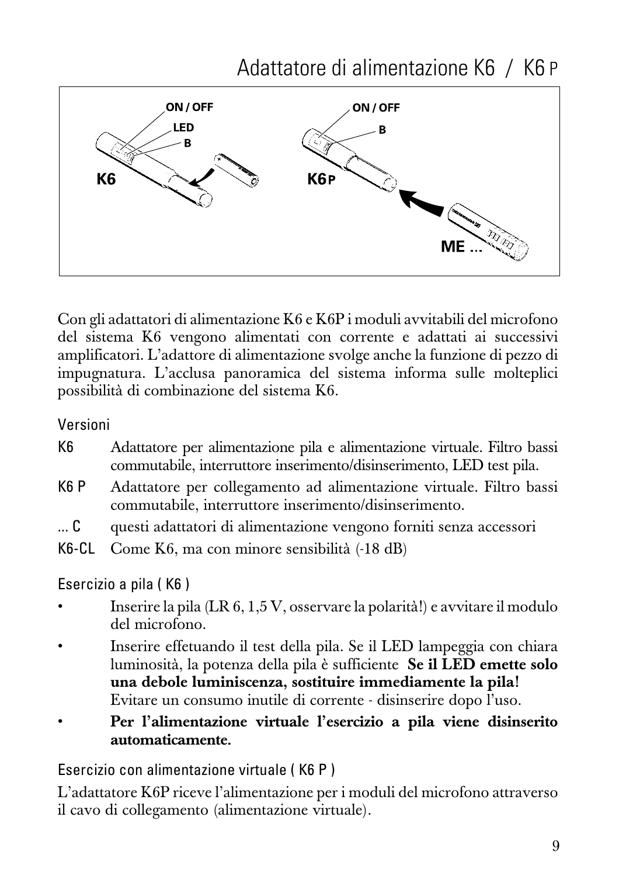Adattatore di alimentazione K6 / K6 P



Con gli adattatori di alimentazione K6 e K6P i moduli avvitabili del microfono del sistema K6 vengono alimentati con corrente e adattati ai successivi amplificatori. L'adattore di alimentazione svolge anche la funzione di pezzo di impugnatura. L'acclusa panoramica del sistema informa sulle molteplici possibilità di combinazione del sistema K6.

Versioni

- K6 Adattatore per alimentazione pila e alimentazione virtuale. Filtro bassi commutabile, interruttore inserimento/disinserimento, LED test pila.
- K6 P Adattatore per collegamento ad alimentazione virtuale. Filtro bassi commutabile, interruttore inserimento/disinserimento.
- ... C questi adattatori di alimentazione vengono forniti senza accessori
- K6-CL Come K6, ma con minore sensibilità (-18 dB)

Esercizio a pila ( K6 )

- Inserire la pila (LR 6, 1,5 V, osservare la polarità!) e avvitare il modulo del microfono.
- Inserire effetuando il test della pila. Se il LED lampeggia con chiara luminosità, la potenza della pila è sufficiente **Se il LED emette solo una debole luminiscenza, sostituire immediamente la pila!** Evitare un consumo inutile di corrente - disinserire dopo l'uso.
- **Per l'alimentazione virtuale l'esercizio a pila viene disinserito automaticamente.**

Esercizio con alimentazione virtuale ( K6 P )

L'adattatore K6P riceve l'alimentazione per i moduli del microfono attraverso il cavo di collegamento (alimentazione virtuale).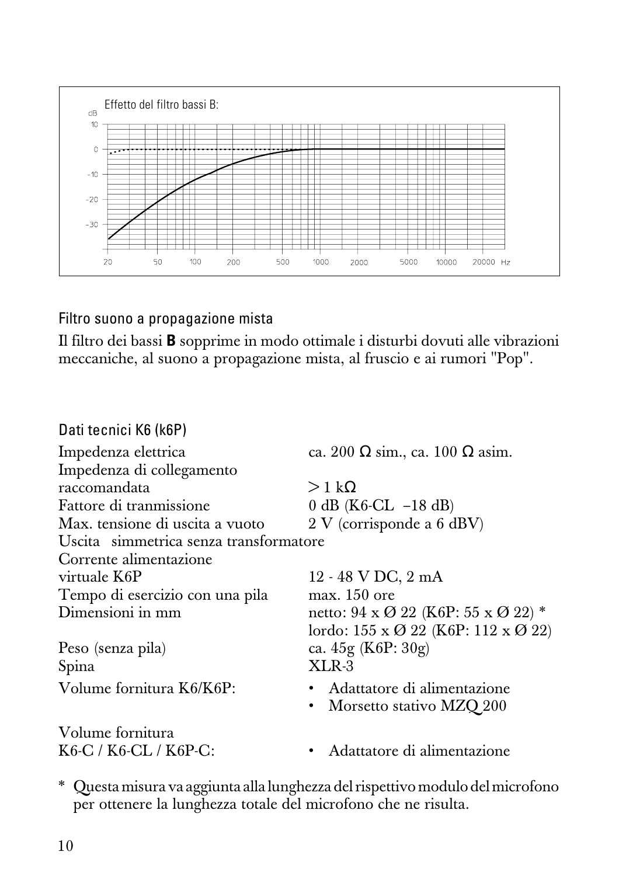

Filtro suono a propagazione mista

Il filtro dei bassi **B** sopprime in modo ottimale i disturbi dovuti alle vibrazioni meccaniche, al suono a propagazione mista, al fruscio e ai rumori "Pop".

| Dati tecnici K6 (k6P)                  |                                                                   |
|----------------------------------------|-------------------------------------------------------------------|
| Impedenza elettrica                    | ca. 200 $\Omega$ sim., ca. 100 $\Omega$ asim.                     |
| Impedenza di collegamento              |                                                                   |
| raccomandata                           | $>1 \text{ k}\Omega$                                              |
| Fattore di tranmissione                | $0$ dB (K6-CL $-18$ dB)                                           |
| Max. tensione di uscita a vuoto        | $2 V$ (corrisponde a 6 dBV)                                       |
| Uscita simmetrica senza transformatore |                                                                   |
| Corrente alimentazione                 |                                                                   |
| virtuale K6P                           | 12 - 48 V DC, 2 mA                                                |
| Tempo di esercizio con una pila        | max. 150 ore                                                      |
| Dimensioni in mm                       | netto: $94 \times Q$ 22 (K6P: $55 \times Q$ 22) <sup>*</sup>      |
|                                        | lordo: $155 \times \emptyset$ 22 (K6P: $112 \times \emptyset$ 22) |
| Peso (senza pila)                      | ca. $45g$ (K6P: $30g$ )                                           |
| Spina                                  | XLR-3                                                             |
| Volume fornitura K6/K6P:               | • Adattatore di alimentazione                                     |
|                                        | Morsetto stativo MZQ 200                                          |
| Volume fornitura                       |                                                                   |
| K6-C / K6-CL / K6P-C:                  | Adattatore di alimentazione                                       |
|                                        |                                                                   |

\* Questa misura va aggiunta alla lunghezza del rispettivo modulo del microfono per ottenere la lunghezza totale del microfono che ne risulta.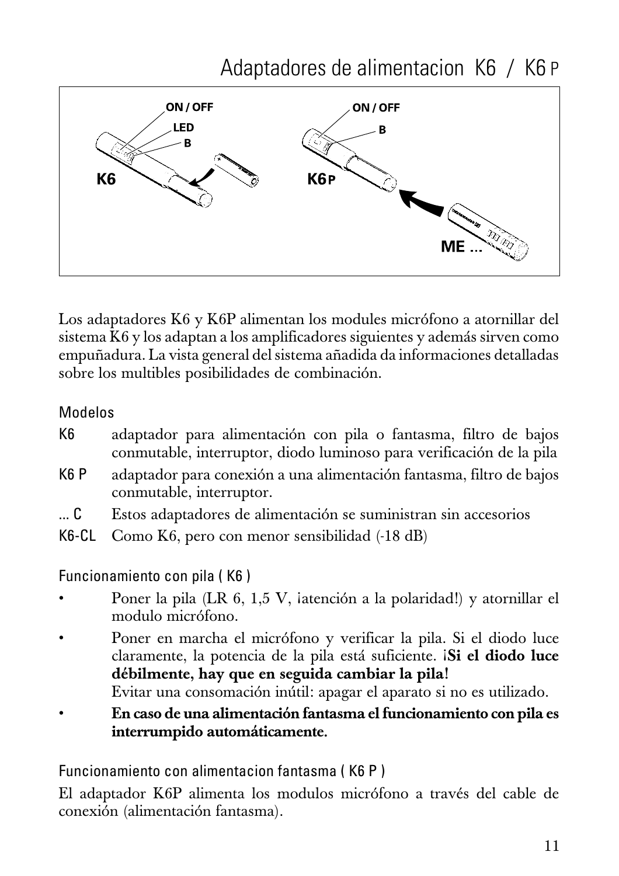

Los adaptadores K6 y K6P alimentan los modules micrófono a atornillar del sistema K6 y los adaptan a los amplificadores siguientes y además sirven como empuñadura. La vista general del sistema añadida da informaciones detalladas sobre los multibles posibilidades de combinación.

#### Modelos

- K6 adaptador para alimentación con pila o fantasma, filtro de bajos conmutable, interruptor, diodo luminoso para verificación de la pila
- K6 P adaptador para conexión a una alimentación fantasma, filtro de bajos conmutable, interruptor.
- ... C Estos adaptadores de alimentación se suministran sin accesorios
- K6-CL Como K6, pero con menor sensibilidad (-18 dB)

Funcionamiento con pila ( K6 )

- Poner la pila (LR 6, 1,5 V, ¡atención a la polaridad!) y atornillar el modulo micrófono.
- Poner en marcha el micrófono y verificar la pila. Si el diodo luce claramente, la potencia de la pila está suficiente. ¡**Si el diodo luce débilmente, hay que en seguida cambiar la pila!**

Evitar una consomación inútil: apagar el aparato si no es utilizado.

• **En caso de una alimentación fantasma el funcionamiento con pila es interrumpido automáticamente.**

Funcionamiento con alimentacion fantasma ( K6 P )

El adaptador K6P alimenta los modulos micrófono a través del cable de conexión (alimentación fantasma).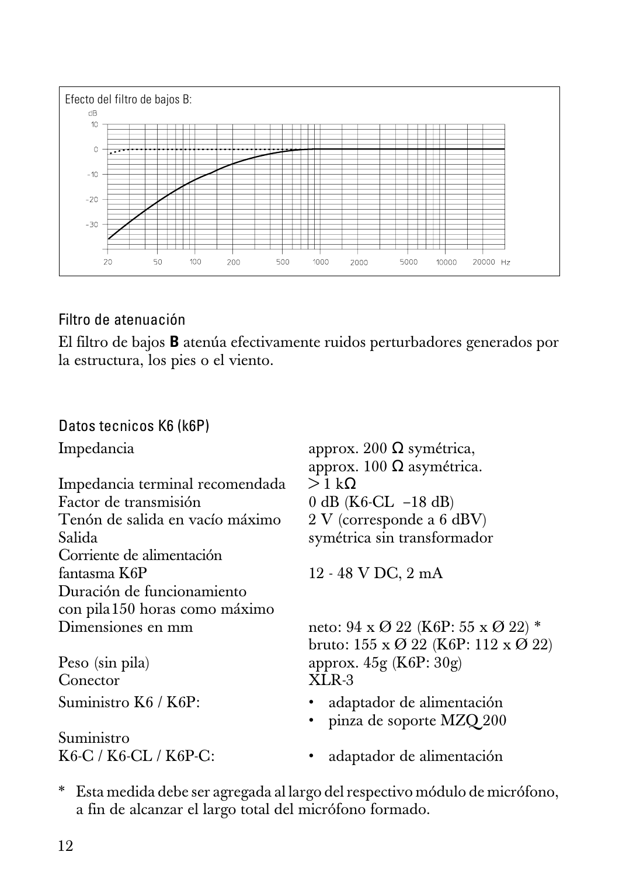

#### Filtro de atenuación

El filtro de bajos **B** atenúa efectivamente ruidos perturbadores generados por la estructura, los pies o el viento.

#### Datos tecnicos K6 (k6P)

Impedancia terminal recomendada > 1 kΩ<br>Factor de transmisión 0 dB (K Factor de transmisión  $0 \text{ dB} (\text{K6-CL} - 18 \text{ dB})$ <br>Tenón de salida en vacío máximo  $2 \text{ V}$  (corresponde a 6 de Salida symétrica sin transformador Corriente de alimentación fantasma K6P 12 - 48 V DC, 2 mA Duración de funcionamiento con pila150 horas como máximo

Conector XLR-3

Suministro<br>K6-C / K6-CL / K6P-C:

Impedancia approx. 200 Ω symétrica, approx.  $100 Ω$  asymétrica.  $2 V$  (corresponde a 6 dBV)

neto: 94 x  $\varnothing$  22 (K6P: 55 x  $\varnothing$  22) \* bruto: 155 x Ø 22 (K6P: 112 x Ø 22) Peso (sin pila) approx. 45g (K6P: 30g)

- Suministro K6 / K6P: · · · · · · · · adaptador de alimentación
	- pinza de soporte MZQ 200
	- adaptador de alimentación
- \* Esta medida debe ser agregada al largo del respectivo módulo de micrófono, a fin de alcanzar el largo total del micrófono formado.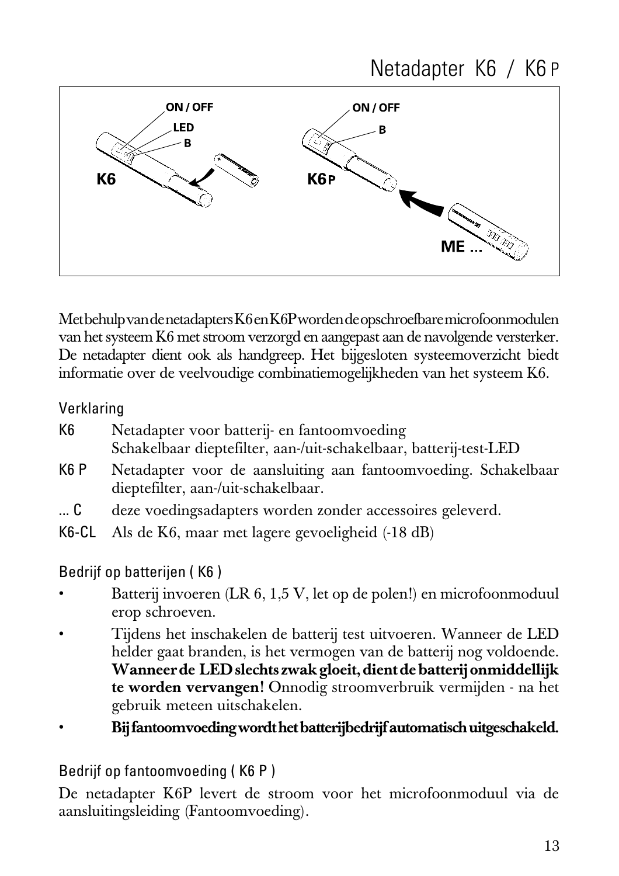

Met behulp van de netadapters K6 en K6P worden de opschroefbare microfoonmodulen van het systeem K6 met stroom verzorgd en aangepast aan de navolgende versterker. De netadapter dient ook als handgreep. Het bijgesloten systeemoverzicht biedt informatie over de veelvoudige combinatiemogelijkheden van het systeem K6.

#### Verklaring

| K6 | Netadapter voor batterij- en fantoomvoeding                       |
|----|-------------------------------------------------------------------|
|    | Schakelbaar dieptefilter, aan-/uit-schakelbaar, batterij-test-LED |

- K6 P Netadapter voor de aansluiting aan fantoomvoeding. Schakelbaar dieptefilter, aan-/uit-schakelbaar.
- ... C deze voedingsadapters worden zonder accessoires geleverd.
- K6-CL Als de K6, maar met lagere gevoeligheid (-18 dB)

#### Bedrijf op batterijen ( K6 )

- Batterij invoeren (LR 6, 1,5 V, let op de polen!) en microfoonmoduul erop schroeven.
- Tijdens het inschakelen de batterij test uitvoeren. Wanneer de LED helder gaat branden, is het vermogen van de batterij nog voldoende. **Wanneer de LED slechts zwak gloeit, dient de batterij onmiddellijk te worden vervangen!** Onnodig stroomverbruik vermijden - na het gebruik meteen uitschakelen.
- **Bij fantoomvoeding wordt het batterijbedrijf automatisch uitgeschakeld.**

#### Bedrijf op fantoomvoeding ( K6 P )

De netadapter K6P levert de stroom voor het microfoonmoduul via de aansluitingsleiding (Fantoomvoeding).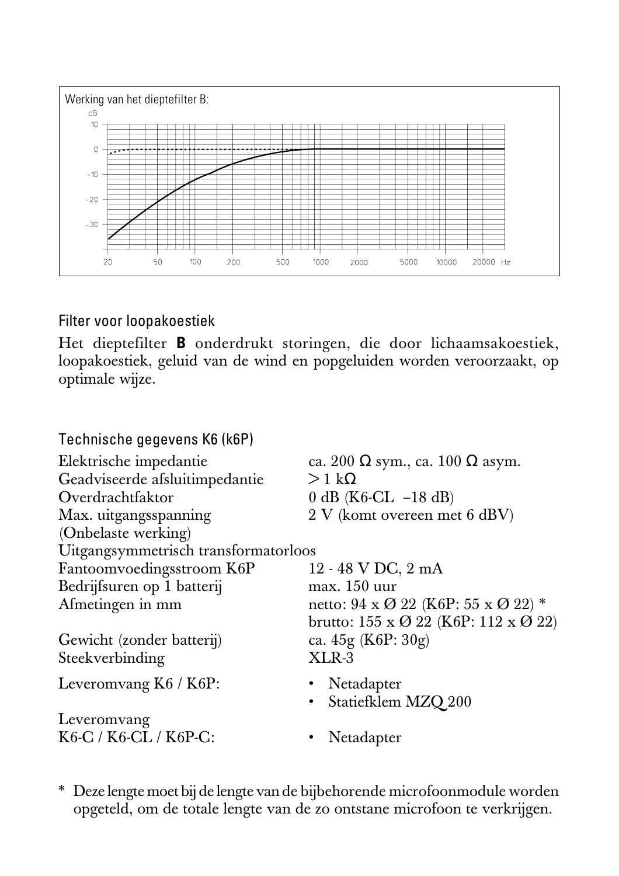

Filter voor loopakoestiek

Het dieptefilter **B** onderdrukt storingen, die door lichaamsakoestiek, loopakoestiek, geluid van de wind en popgeluiden worden veroorzaakt, op optimale wijze.

| ca. 200 $\Omega$ sym., ca. 100 $\Omega$ asym.                          |
|------------------------------------------------------------------------|
| $>1 \text{ k}\Omega$                                                   |
| 0 dB ( $K6$ -CL $-18$ dB)                                              |
| 2 V (komt overeen met 6 dBV)                                           |
|                                                                        |
| Uitgangsymmetrisch transformatorloos                                   |
| 12 - 48 V DC, 2 mA                                                     |
| max. 150 uur                                                           |
| netto: $94 \times 022$ (K6P: $55 \times 022$ ) *                       |
| brutto: $155 \times \mathcal{O}$ 22 (K6P: $112 \times \mathcal{O}$ 22) |
| ca. $45g$ (K6P: $30g$ )                                                |
| $XLR-3$                                                                |
| • Netadapter                                                           |
| · Statiefklem MZQ 200                                                  |
|                                                                        |
| Netadapter                                                             |
|                                                                        |

\* Deze lengte moet bij de lengte van de bijbehorende microfoonmodule worden opgeteld, om de totale lengte van de zo ontstane microfoon te verkrijgen.